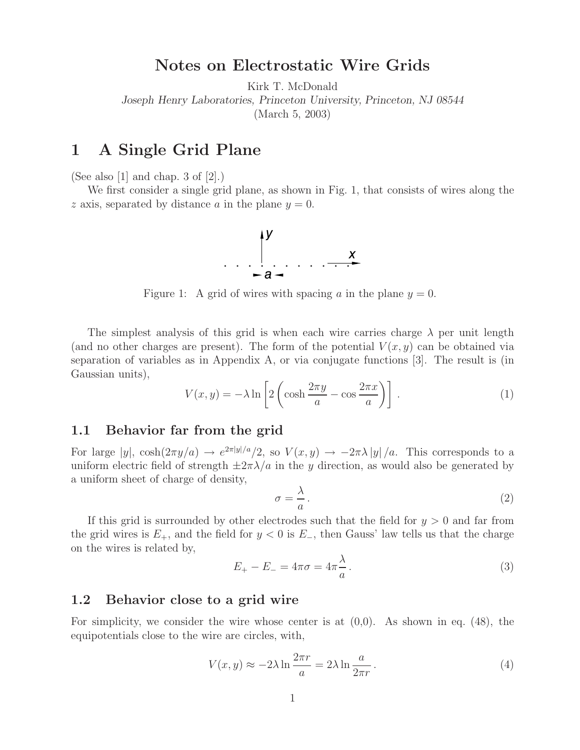# **Notes on Electrostatic Wire Grids**

Kirk T. McDonald

*Joseph Henry Laboratories, Princeton University, Princeton, NJ 08544*

(March 5, 2003)

# **1 A Single Grid Plane**

(See also [1] and chap. 3 of [2].)

We first consider a single grid plane, as shown in Fig. 1, that consists of wires along the z axis, separated by distance a in the plane  $y = 0$ .



Figure 1: A grid of wires with spacing a in the plane  $y = 0$ .

The simplest analysis of this grid is when each wire carries charge  $\lambda$  per unit length (and no other charges are present). The form of the potential  $V(x, y)$  can be obtained via separation of variables as in Appendix A, or via conjugate functions [3]. The result is (in Gaussian units),

$$
V(x,y) = -\lambda \ln \left[ 2 \left( \cosh \frac{2\pi y}{a} - \cos \frac{2\pi x}{a} \right) \right].
$$
 (1)

### **1.1 Behavior far from the grid**

For large  $|y|$ ,  $\cosh(2\pi y/a) \to e^{2\pi |y|/a}/2$ , so  $V(x, y) \to -2\pi\lambda |y|/a$ . This corresponds to a uniform electric field of strength  $\pm 2\pi\lambda/a$  in the y direction, as would also be generated by a uniform sheet of charge of density,

$$
\sigma = \frac{\lambda}{a} \,. \tag{2}
$$

If this grid is surrounded by other electrodes such that the field for  $y > 0$  and far from the grid wires is  $E_{+}$ , and the field for  $y < 0$  is  $E_{-}$ , then Gauss' law tells us that the charge on the wires is related by,

$$
E_{+} - E_{-} = 4\pi\sigma = 4\pi\frac{\lambda}{a}.
$$
\n(3)

### **1.2 Behavior close to a grid wire**

For simplicity, we consider the wire whose center is at  $(0,0)$ . As shown in eq.  $(48)$ , the equipotentials close to the wire are circles, with,

$$
V(x,y) \approx -2\lambda \ln \frac{2\pi r}{a} = 2\lambda \ln \frac{a}{2\pi r}.
$$
 (4)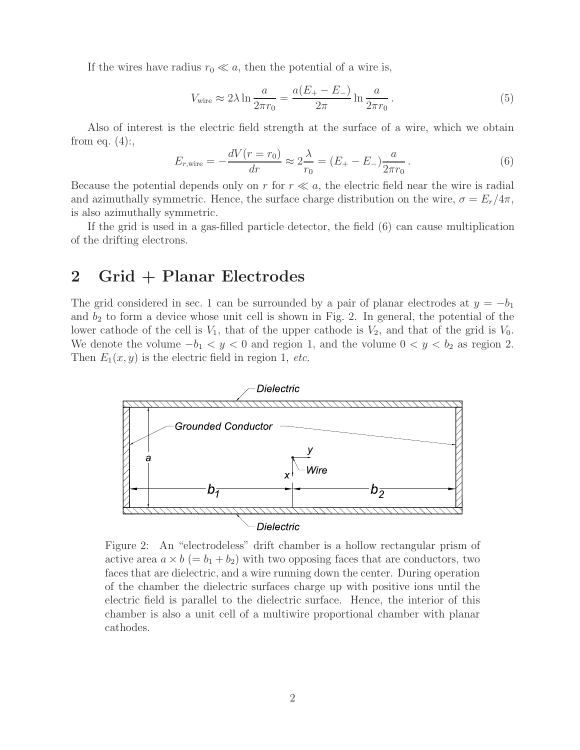If the wires have radius  $r_0 \ll a$ , then the potential of a wire is,

$$
V_{\text{wire}} \approx 2\lambda \ln \frac{a}{2\pi r_0} = \frac{a(E_+ - E_-)}{2\pi} \ln \frac{a}{2\pi r_0} \,. \tag{5}
$$

Also of interest is the electric field strength at the surface of a wire, which we obtain from eq.  $(4)$ :,

$$
E_{r,\text{wire}} = -\frac{dV(r = r_0)}{dr} \approx 2\frac{\lambda}{r_0} = (E_+ - E_-)\frac{a}{2\pi r_0} \,. \tag{6}
$$

Because the potential depends only on r for  $r \ll a$ , the electric field near the wire is radial and azimuthally symmetric. Hence, the surface charge distribution on the wire,  $\sigma = E_r/4\pi$ , is also azimuthally symmetric.

If the grid is used in a gas-filled particle detector, the field (6) can cause multiplication of the drifting electrons.

## **2 Grid + Planar Electrodes**

The grid considered in sec. 1 can be surrounded by a pair of planar electrodes at  $y = -b_1$ and  $b_2$  to form a device whose unit cell is shown in Fig. 2. In general, the potential of the lower cathode of the cell is  $V_1$ , that of the upper cathode is  $V_2$ , and that of the grid is  $V_0$ . We denote the volume  $-b_1 < y < 0$  and region 1, and the volume  $0 < y < b_2$  as region 2. Then  $E_1(x, y)$  is the electric field in region 1, *etc.* 



Figure 2: An "electrodeless" drift chamber is a hollow rectangular prism of active area  $a \times b (= b_1 + b_2)$  with two opposing faces that are conductors, two faces that are dielectric, and a wire running down the center. During operation of the chamber the dielectric surfaces charge up with positive ions until the electric field is parallel to the dielectric surface. Hence, the interior of this chamber is also a unit cell of a multiwire proportional chamber with planar cathodes.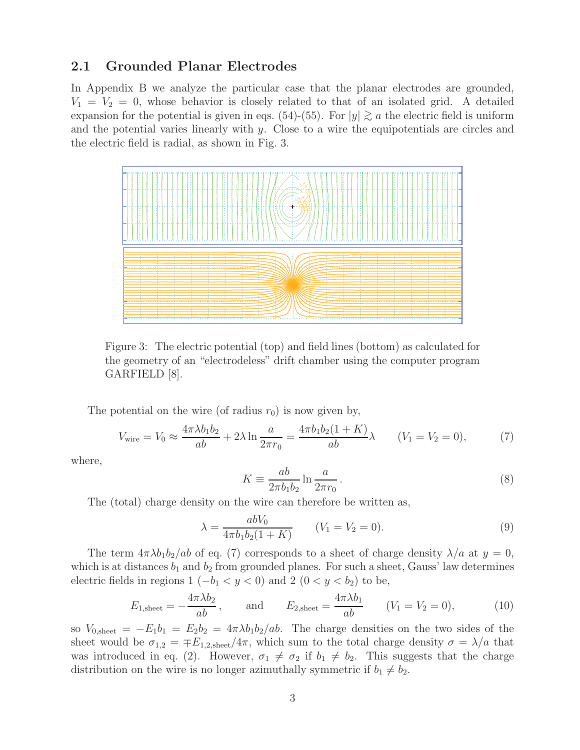### **2.1 Grounded Planar Electrodes**

In Appendix B we analyze the particular case that the planar electrodes are grounded,  $V_1 = V_2 = 0$ , whose behavior is closely related to that of an isolated grid. A detailed expansion for the potential is given in eqs. (54)-(55). For  $|y| \gtrsim a$  the electric field is uniform and the potential varies linearly with y. Close to a wire the equipotentials are circles and the electric field is radial, as shown in Fig. 3.



Figure 3: The electric potential (top) and field lines (bottom) as calculated for the geometry of an "electrodeless" drift chamber using the computer program GARFIELD [8].

The potential on the wire (of radius  $r_0$ ) is now given by,

$$
V_{\text{wire}} = V_0 \approx \frac{4\pi\lambda b_1 b_2}{ab} + 2\lambda \ln \frac{a}{2\pi r_0} = \frac{4\pi b_1 b_2 (1+K)}{ab} \lambda \qquad (V_1 = V_2 = 0), \tag{7}
$$

where,

$$
K \equiv \frac{ab}{2\pi b_1 b_2} \ln \frac{a}{2\pi r_0} \,. \tag{8}
$$

The (total) charge density on the wire can therefore be written as,

$$
\lambda = \frac{abV_0}{4\pi b_1 b_2 (1+K)} \qquad (V_1 = V_2 = 0). \tag{9}
$$

The term  $4\pi\lambda b_1b_2/ab$  of eq. (7) corresponds to a sheet of charge density  $\lambda/a$  at  $y=0$ , which is at distances  $b_1$  and  $b_2$  from grounded planes. For such a sheet, Gauss' law determines electric fields in regions 1 ( $-b<sub>1</sub> < y < 0$ ) and 2 (0 < y < b<sub>2</sub>) to be,

$$
E_{1,\text{sheet}} = -\frac{4\pi\lambda b_2}{ab}
$$
, and  $E_{2,\text{sheet}} = \frac{4\pi\lambda b_1}{ab}$   $(V_1 = V_2 = 0)$ , (10)

so  $V_{0,\text{sheet}} = -E_1b_1 = E_2b_2 = 4\pi\lambda b_1b_2/ab$ . The charge densities on the two sides of the sheet would be  $\sigma_{1,2} = \pm E_{1,2,\text{sheet}}/4\pi$ , which sum to the total charge density  $\sigma = \lambda/a$  that was introduced in eq. (2). However,  $\sigma_1 \neq \sigma_2$  if  $b_1 \neq b_2$ . This suggests that the charge distribution on the wire is no longer azimuthally symmetric if  $b_1 \neq b_2$ .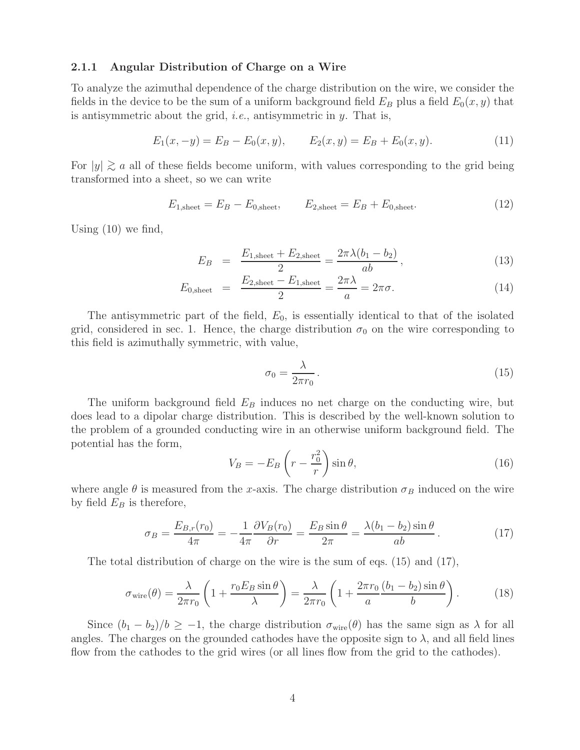#### **2.1.1 Angular Distribution of Charge on a Wire**

To analyze the azimuthal dependence of the charge distribution on the wire, we consider the fields in the device to be the sum of a uniform background field  $E_B$  plus a field  $E_0(x, y)$  that is antisymmetric about the grid, *i.e.*, antisymmetric in y. That is,

$$
E_1(x, -y) = E_B - E_0(x, y), \qquad E_2(x, y) = E_B + E_0(x, y). \tag{11}
$$

For  $|y| \gtrsim a$  all of these fields become uniform, with values corresponding to the grid being to the grid being transformed into a sheet, so we can write

$$
E_{1,\text{sheet}} = E_B - E_{0,\text{sheet}}, \qquad E_{2,\text{sheet}} = E_B + E_{0,\text{sheet}}.
$$
 (12)

Using (10) we find,

$$
E_B = \frac{E_{1,\text{sheet}} + E_{2,\text{sheet}}}{2} = \frac{2\pi\lambda(b_1 - b_2)}{ab},
$$
\n(13)

$$
E_{0,\text{sheet}} = \frac{E_{2,\text{sheet}} - E_{1,\text{sheet}}}{2} = \frac{2\pi\lambda}{a} = 2\pi\sigma.
$$
 (14)

The antisymmetric part of the field,  $E_0$ , is essentially identical to that of the isolated grid, considered in sec. 1. Hence, the charge distribution  $\sigma_0$  on the wire corresponding to this field is azimuthally symmetric, with value,

$$
\sigma_0 = \frac{\lambda}{2\pi r_0} \,. \tag{15}
$$

The uniform background field  $E_B$  induces no net charge on the conducting wire, but does lead to a dipolar charge distribution. This is described by the well-known solution to the problem of a grounded conducting wire in an otherwise uniform background field. The potential has the form,

$$
V_B = -E_B \left( r - \frac{r_0^2}{r} \right) \sin \theta, \tag{16}
$$

where angle  $\theta$  is measured from the x-axis. The charge distribution  $\sigma_B$  induced on the wire by field  $E_B$  is therefore,

$$
\sigma_B = \frac{E_{B,r}(r_0)}{4\pi} = -\frac{1}{4\pi} \frac{\partial V_B(r_0)}{\partial r} = \frac{E_B \sin \theta}{2\pi} = \frac{\lambda (b_1 - b_2) \sin \theta}{ab}.
$$
\n(17)

The total distribution of charge on the wire is the sum of eqs.  $(15)$  and  $(17)$ ,

$$
\sigma_{\text{wire}}(\theta) = \frac{\lambda}{2\pi r_0} \left( 1 + \frac{r_0 E_B \sin \theta}{\lambda} \right) = \frac{\lambda}{2\pi r_0} \left( 1 + \frac{2\pi r_0}{a} \frac{(b_1 - b_2) \sin \theta}{b} \right). \tag{18}
$$

Since  $(b_1 - b_2)/b \ge -1$ , the charge distribution  $\sigma_{\text{wire}}(\theta)$  has the same sign as  $\lambda$  for all angles. The charges on the grounded cathodes have the opposite sign to  $\lambda$ , and all field lines flow from the cathodes to the grid wires (or all lines flow from the grid to the cathodes).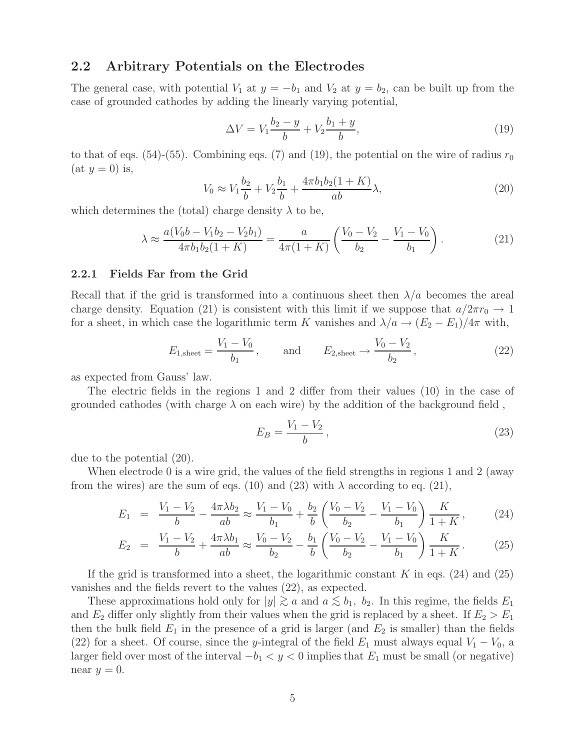### **2.2 Arbitrary Potentials on the Electrodes**

The general case, with potential  $V_1$  at  $y = -b_1$  and  $V_2$  at  $y = b_2$ , can be built up from the case of grounded cathodes by adding the linearly varying potential,

$$
\Delta V = V_1 \frac{b_2 - y}{b} + V_2 \frac{b_1 + y}{b},\tag{19}
$$

to that of eqs. (54)-(55). Combining eqs. (7) and (19), the potential on the wire of radius  $r_0$  $(at y = 0)$  is,

$$
V_0 \approx V_1 \frac{b_2}{b} + V_2 \frac{b_1}{b} + \frac{4\pi b_1 b_2 (1+K)}{ab} \lambda,
$$
\n(20)

which determines the (total) charge density  $\lambda$  to be,

$$
\lambda \approx \frac{a(V_0 b - V_1 b_2 - V_2 b_1)}{4\pi b_1 b_2 (1 + K)} = \frac{a}{4\pi (1 + K)} \left( \frac{V_0 - V_2}{b_2} - \frac{V_1 - V_0}{b_1} \right). \tag{21}
$$

#### **2.2.1 Fields Far from the Grid**

Recall that if the grid is transformed into a continuous sheet then  $\lambda/a$  becomes the areal charge density. Equation (21) is consistent with this limit if we suppose that  $a/2\pi r_0 \rightarrow 1$ for a sheet, in which case the logarithmic term K vanishes and  $\lambda/a \rightarrow (E_2 - E_1)/4\pi$  with,

$$
E_{1,\text{sheet}} = \frac{V_1 - V_0}{b_1}, \quad \text{and} \quad E_{2,\text{sheet}} \to \frac{V_0 - V_2}{b_2},
$$
 (22)

as expected from Gauss' law.

The electric fields in the regions 1 and 2 differ from their values (10) in the case of grounded cathodes (with charge  $\lambda$  on each wire) by the addition of the background field,

$$
E_B = \frac{V_1 - V_2}{b},
$$
\n(23)

due to the potential (20).

When electrode 0 is a wire grid, the values of the field strengths in regions 1 and 2 (away from the wires) are the sum of eqs. (10) and (23) with  $\lambda$  according to eq. (21),

$$
E_1 = \frac{V_1 - V_2}{b} - \frac{4\pi\lambda b_2}{ab} \approx \frac{V_1 - V_0}{b_1} + \frac{b_2}{b} \left(\frac{V_0 - V_2}{b_2} - \frac{V_1 - V_0}{b_1}\right) \frac{K}{1 + K},
$$
 (24)

$$
E_2 = \frac{V_1 - V_2}{b} + \frac{4\pi\lambda b_1}{ab} \approx \frac{V_0 - V_2}{b_2} - \frac{b_1}{b} \left(\frac{V_0 - V_2}{b_2} - \frac{V_1 - V_0}{b_1}\right) \frac{K}{1 + K}.
$$
 (25)

If the grid is transformed into a sheet, the logarithmic constant K in eqs.  $(24)$  and  $(25)$ vanishes and the fields revert to the values (22), as expected.

These approximations hold only for  $|y| \gtrsim a$  and  $a \lesssim b_1$ ,  $b_2$ . In this regime, the fields  $E_1$ and  $E_2$  differ only slightly from their values when the grid is replaced by a sheet. If  $E_2 > E_1$ then the bulk field  $E_1$  in the presence of a grid is larger (and  $E_2$  is smaller) than the fields (22) for a sheet. Of course, since the y-integral of the field  $E_1$  must always equal  $V_1 - V_0$ , a larger field over most of the interval  $-b_1 < y < 0$  implies that  $E_1$  must be small (or negative) near  $y = 0$ .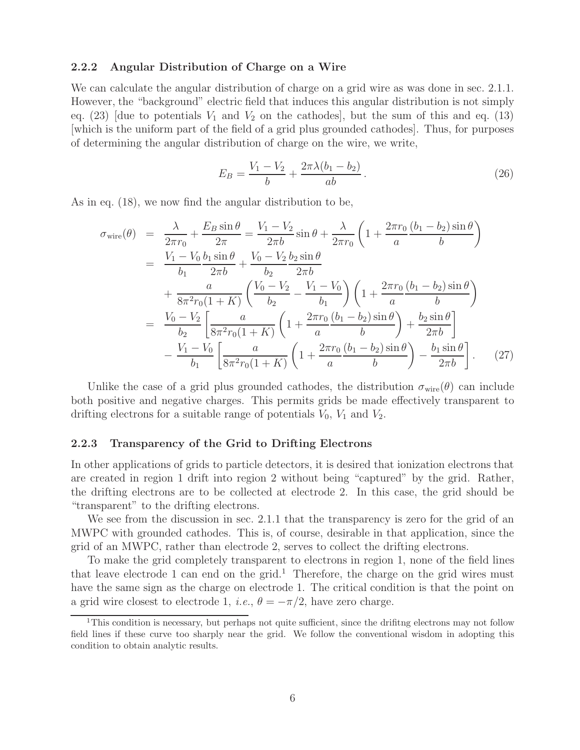#### **2.2.2 Angular Distribution of Charge on a Wire**

We can calculate the angular distribution of charge on a grid wire as was done in sec. 2.1.1. However, the "background" electric field that induces this angular distribution is not simply eq. (23) [due to potentials  $V_1$  and  $V_2$  on the cathodes], but the sum of this and eq. (13) [which is the uniform part of the field of a grid plus grounded cathodes]. Thus, for purposes of determining the angular distribution of charge on the wire, we write,

$$
E_B = \frac{V_1 - V_2}{b} + \frac{2\pi\lambda(b_1 - b_2)}{ab}.
$$
\n(26)

As in eq. (18), we now find the angular distribution to be,

$$
\sigma_{\text{wire}}(\theta) = \frac{\lambda}{2\pi r_0} + \frac{E_B \sin \theta}{2\pi} = \frac{V_1 - V_2}{2\pi b} \sin \theta + \frac{\lambda}{2\pi r_0} \left( 1 + \frac{2\pi r_0}{a} \frac{(b_1 - b_2) \sin \theta}{b} \right)
$$
  
\n
$$
= \frac{V_1 - V_0}{b_1} \frac{b_1 \sin \theta}{2\pi b} + \frac{V_0 - V_2}{b_2} \frac{b_2 \sin \theta}{2\pi b}
$$
  
\n
$$
+ \frac{a}{8\pi^2 r_0 (1 + K)} \left( \frac{V_0 - V_2}{b_2} - \frac{V_1 - V_0}{b_1} \right) \left( 1 + \frac{2\pi r_0}{a} \frac{(b_1 - b_2) \sin \theta}{b} \right)
$$
  
\n
$$
= \frac{V_0 - V_2}{b_2} \left[ \frac{a}{8\pi^2 r_0 (1 + K)} \left( 1 + \frac{2\pi r_0}{a} \frac{(b_1 - b_2) \sin \theta}{b} \right) + \frac{b_2 \sin \theta}{2\pi b} \right]
$$
  
\n
$$
- \frac{V_1 - V_0}{b_1} \left[ \frac{a}{8\pi^2 r_0 (1 + K)} \left( 1 + \frac{2\pi r_0}{a} \frac{(b_1 - b_2) \sin \theta}{b} \right) - \frac{b_1 \sin \theta}{2\pi b} \right].
$$
 (27)

Unlike the case of a grid plus grounded cathodes, the distribution  $\sigma_{\text{wire}}(\theta)$  can include both positive and negative charges. This permits grids be made effectively transparent to drifting electrons for a suitable range of potentials  $V_0$ ,  $V_1$  and  $V_2$ .

#### **2.2.3 Transparency of the Grid to Drifting Electrons**

In other applications of grids to particle detectors, it is desired that ionization electrons that are created in region 1 drift into region 2 without being "captured" by the grid. Rather, the drifting electrons are to be collected at electrode 2. In this case, the grid should be "transparent" to the drifting electrons.

We see from the discussion in sec. 2.1.1 that the transparency is zero for the grid of an MWPC with grounded cathodes. This is, of course, desirable in that application, since the grid of an MWPC, rather than electrode 2, serves to collect the drifting electrons.

To make the grid completely transparent to electrons in region 1, none of the field lines that leave electrode 1 can end on the grid.<sup>1</sup> Therefore, the charge on the grid wires must have the same sign as the charge on electrode 1. The critical condition is that the point on a grid wire closest to electrode 1, *i.e.*,  $\theta = -\pi/2$ , have zero charge.

<sup>&</sup>lt;sup>1</sup>This condition is necessary, but perhaps not quite sufficient, since the drifting electrons may not follow field lines if these curve too sharply near the grid. We follow the conventional wisdom in adopting this condition to obtain analytic results.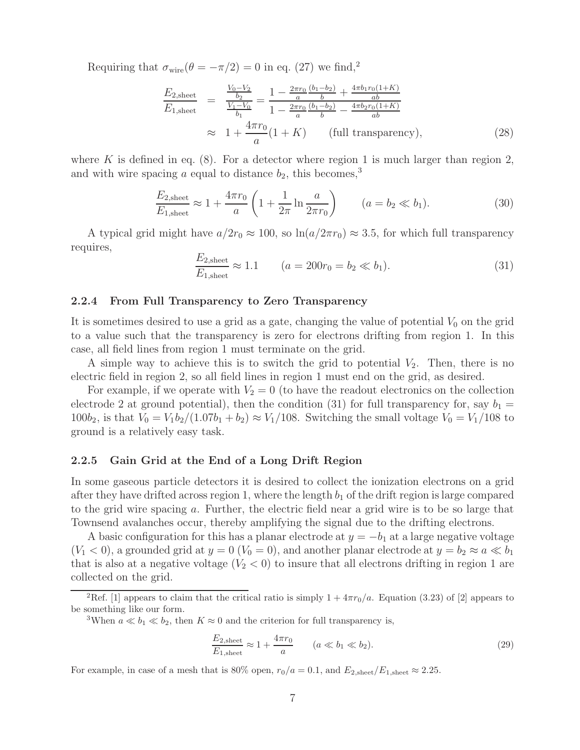Requiring that  $\sigma_{\text{wire}}(\theta = -\pi/2) = 0$  in eq. (27) we find,<sup>2</sup>

$$
\frac{E_{2,\text{sheet}}}{E_{1,\text{sheet}}} = \frac{\frac{V_0 - V_2}{b_2}}{\frac{V_1 - V_0}{b_1}} = \frac{1 - \frac{2\pi r_0}{a} \frac{(b_1 - b_2)}{b} + \frac{4\pi b_1 r_0 (1 + K)}{ab}}{1 - \frac{2\pi r_0}{a} \frac{(b_1 - b_2)}{b} - \frac{4\pi b_2 r_0 (1 + K)}{ab}}
$$
\n
$$
\approx 1 + \frac{4\pi r_0}{a} (1 + K) \qquad \text{(full transparency)}, \tag{28}
$$

where K is defined in eq.  $(8)$ . For a detector where region 1 is much larger than region 2, and with wire spacing a equal to distance  $b_2$ , this becomes,<sup>3</sup>

$$
\frac{E_{2,\text{sheet}}}{E_{1,\text{sheet}}} \approx 1 + \frac{4\pi r_0}{a} \left( 1 + \frac{1}{2\pi} \ln \frac{a}{2\pi r_0} \right) \qquad (a = b_2 \ll b_1). \tag{30}
$$

A typical grid might have  $a/2r_0 \approx 100$ , so  $\ln(a/2\pi r_0) \approx 3.5$ , for which full transparency requires,

$$
\frac{E_{2,\text{sheet}}}{E_{1,\text{sheet}}} \approx 1.1 \qquad (a = 200r_0 = b_2 \ll b_1). \tag{31}
$$

#### **2.2.4 From Full Transparency to Zero Transparency**

It is sometimes desired to use a grid as a gate, changing the value of potential  $V_0$  on the grid to a value such that the transparency is zero for electrons drifting from region 1. In this case, all field lines from region 1 must terminate on the grid.

A simple way to achieve this is to switch the grid to potential  $V_2$ . Then, there is no electric field in region 2, so all field lines in region 1 must end on the grid, as desired.

For example, if we operate with  $V_2 = 0$  (to have the readout electronics on the collection electrode 2 at ground potential), then the condition (31) for full transparency for, say  $b_1 =$  $100b_2$ , is that  $V_0 = V_1b_2/(1.07b_1 + b_2) \approx V_1/108$ . Switching the small voltage  $V_0 = V_1/108$  to ground is a relatively easy task.

#### **2.2.5 Gain Grid at the End of a Long Drift Region**

In some gaseous particle detectors it is desired to collect the ionization electrons on a grid after they have drifted across region 1, where the length  $b_1$  of the drift region is large compared to the grid wire spacing a. Further, the electric field near a grid wire is to be so large that Townsend avalanches occur, thereby amplifying the signal due to the drifting electrons.

A basic configuration for this has a planar electrode at  $y = -b_1$  at a large negative voltage  $(V_1 < 0)$ , a grounded grid at  $y = 0$   $(V_0 = 0)$ , and another planar electrode at  $y = b_2 \approx a \ll b_1$ that is also at a negative voltage  $(V_2 < 0)$  to insure that all electrons drifting in region 1 are collected on the grid.

$$
\frac{E_{2,\text{sheet}}}{E_{1,\text{sheet}}} \approx 1 + \frac{4\pi r_0}{a} \qquad (a \ll b_1 \ll b_2). \tag{29}
$$

For example, in case of a mesh that is 80% open,  $r_0/a = 0.1$ , and  $E_{2,\text{sheet}}/E_{1,\text{sheet}} \approx 2.25$ .

<sup>&</sup>lt;sup>2</sup>Ref. [1] appears to claim that the critical ratio is simply  $1 + 4\pi r_0/a$ . Equation (3.23) of [2] appears to be something like our form.

<sup>&</sup>lt;sup>3</sup>When  $a \ll b_1 \ll b_2$ , then  $K \approx 0$  and the criterion for full transparency is,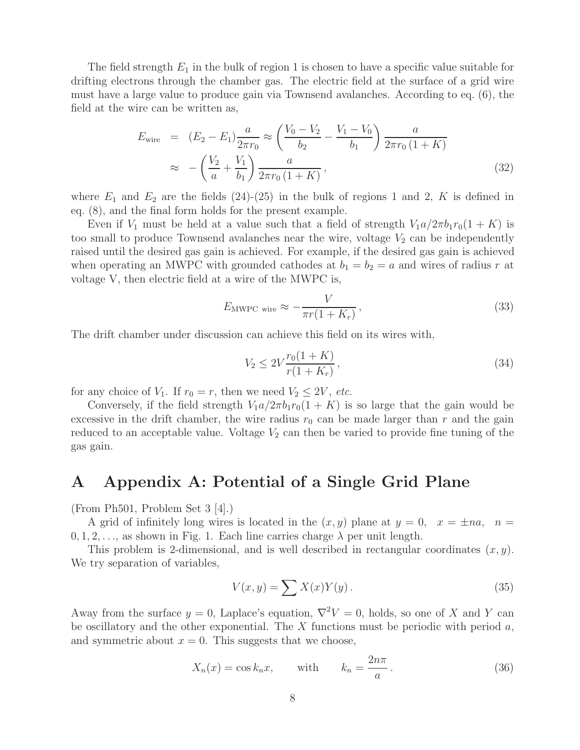The field strength  $E_1$  in the bulk of region 1 is chosen to have a specific value suitable for drifting electrons through the chamber gas. The electric field at the surface of a grid wire must have a large value to produce gain via Townsend avalanches. According to eq. (6), the field at the wire can be written as,

$$
E_{\text{wire}} = (E_2 - E_1) \frac{a}{2\pi r_0} \approx \left(\frac{V_0 - V_2}{b_2} - \frac{V_1 - V_0}{b_1}\right) \frac{a}{2\pi r_0 (1 + K)}
$$
  

$$
\approx -\left(\frac{V_2}{a} + \frac{V_1}{b_1}\right) \frac{a}{2\pi r_0 (1 + K)},
$$
(32)

where  $E_1$  and  $E_2$  are the fields (24)-(25) in the bulk of regions 1 and 2, K is defined in eq. (8), and the final form holds for the present example.

Even if  $V_1$  must be held at a value such that a field of strength  $V_1a/2\pi b_1r_0(1 + K)$  is too small to produce Townsend avalanches near the wire, voltage  $V_2$  can be independently raised until the desired gas gain is achieved. For example, if the desired gas gain is achieved when operating an MWPC with grounded cathodes at  $b_1 = b_2 = a$  and wires of radius r at voltage V, then electric field at a wire of the MWPC is,

$$
E_{\text{MWPC wire}} \approx -\frac{V}{\pi r(1 + K_r)},\tag{33}
$$

The drift chamber under discussion can achieve this field on its wires with,

$$
V_2 \le 2V \frac{r_0(1+K)}{r(1+K_r)},
$$
\n(34)

for any choice of  $V_1$ . If  $r_0 = r$ , then we need  $V_2 \leq 2V$ , *etc.* 

Conversely, if the field strength  $V_1a/2\pi b_1r_0(1 + K)$  is so large that the gain would be excessive in the drift chamber, the wire radius  $r_0$  can be made larger than r and the gain reduced to an acceptable value. Voltage  $V_2$  can then be varied to provide fine tuning of the gas gain.

## **A Appendix A: Potential of a Single Grid Plane**

(From Ph501, Problem Set 3 [4].)

A grid of infinitely long wires is located in the  $(x, y)$  plane at  $y = 0$ ,  $x = \pm na$ ,  $n = \pm \sqrt{a^2 + b^2}$  $0, 1, 2, \ldots$ , as shown in Fig. 1. Each line carries charge  $\lambda$  per unit length.

This problem is 2-dimensional, and is well described in rectangular coordinates  $(x, y)$ . We try separation of variables,

$$
V(x,y) = \sum X(x)Y(y).
$$
\n(35)

Away from the surface  $y = 0$ , Laplace's equation,  $\nabla^2 V = 0$ , holds, so one of X and Y can be oscillatory and the other exponential. The  $X$  functions must be periodic with period  $a$ , and symmetric about  $x = 0$ . This suggests that we choose,

$$
X_n(x) = \cos k_n x, \qquad \text{with} \qquad k_n = \frac{2n\pi}{a} \,. \tag{36}
$$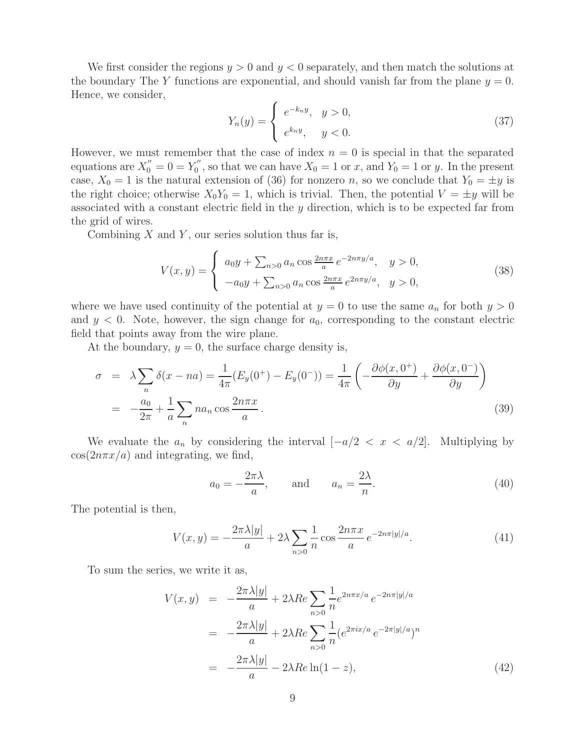We first consider the regions  $y > 0$  and  $y < 0$  separately, and then match the solutions at the boundary The Y functions are exponential, and should vanish far from the plane  $y = 0$ . Hence, we consider,

$$
Y_n(y) = \begin{cases} e^{-k_n y}, & y > 0, \\ e^{k_n y}, & y < 0. \end{cases}
$$
\n
$$
(37)
$$

However, we must remember that the case of index  $n = 0$  is special in that the separated equations are  $X_0'' = 0 = Y_0''$ , so that we can have  $X_0 = 1$  or x, and  $Y_0 = 1$  or y. In the present case,  $X_0 = 1$  is the natural extension of (36) for nonzero n, so we conclude that  $Y_0 = \pm y$  is the right choice; otherwise  $X_0Y_0 = 1$ , which is trivial. Then, the potential  $V = \pm y$  will be associated with a constant electric field in the y direction, which is to be expected far from the grid of wires.

Combining  $X$  and  $Y$ , our series solution thus far is,

$$
V(x,y) = \begin{cases} a_0 y + \sum_{n>0} a_n \cos \frac{2n\pi x}{a} e^{-2n\pi y/a}, & y > 0, \\ -a_0 y + \sum_{n>0} a_n \cos \frac{2n\pi x}{a} e^{2n\pi y/a}, & y > 0, \end{cases}
$$
(38)

where we have used continuity of the potential at  $y = 0$  to use the same  $a_n$  for both  $y > 0$ and  $y < 0$ . Note, however, the sign change for  $a_0$ , corresponding to the constant electric field that points away from the wire plane.

At the boundary,  $y = 0$ , the surface charge density is,

$$
\sigma = \lambda \sum_{n} \delta(x - na) = \frac{1}{4\pi} (E_y(0^+) - E_y(0^-)) = \frac{1}{4\pi} \left( -\frac{\partial \phi(x, 0^+)}{\partial y} + \frac{\partial \phi(x, 0^-)}{\partial y} \right)
$$

$$
= -\frac{a_0}{2\pi} + \frac{1}{a} \sum_{n} na_n \cos \frac{2n\pi x}{a}.
$$
(39)

We evaluate the  $a_n$  by considering the interval  $[-a/2 < x < a/2]$ . Multiplying by  $\cos(2n\pi x/a)$  and integrating, we find,

$$
a_0 = -\frac{2\pi\lambda}{a}, \quad \text{and} \quad a_n = \frac{2\lambda}{n}.
$$
 (40)

The potential is then,

$$
V(x,y) = -\frac{2\pi\lambda|y|}{a} + 2\lambda \sum_{n>0} \frac{1}{n} \cos\frac{2n\pi x}{a} e^{-2n\pi|y|/a}.
$$
 (41)

To sum the series, we write it as,

$$
V(x,y) = -\frac{2\pi\lambda|y|}{a} + 2\lambda Re \sum_{n>0} \frac{1}{n} e^{2n\pi x/a} e^{-2n\pi|y|/a}
$$
  
= 
$$
-\frac{2\pi\lambda|y|}{a} + 2\lambda Re \sum_{n>0} \frac{1}{n} (e^{2\pi ix/a} e^{-2\pi|y|/a})^n
$$
  
= 
$$
-\frac{2\pi\lambda|y|}{a} - 2\lambda Re \ln(1-z),
$$
 (42)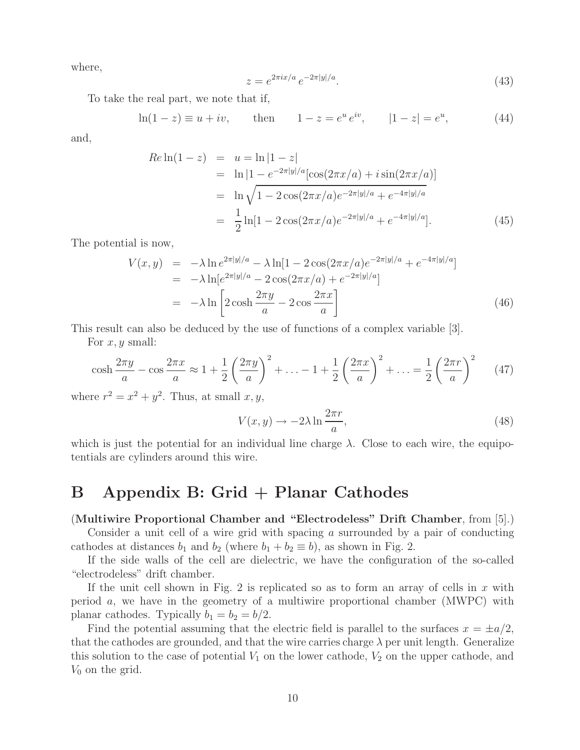where,

$$
z = e^{2\pi ix/a} e^{-2\pi |y|/a}.
$$
\n(43)

To take the real part, we note that if,

$$
\ln(1-z) \equiv u + iv, \quad \text{then} \quad 1-z = e^u e^{iv}, \quad |1-z| = e^u, \quad (44)
$$

and,

$$
Re \ln(1-z) = u = \ln |1-z|
$$
  
=  $\ln |1 - e^{-2\pi |y|/a} [\cos(2\pi x/a) + i \sin(2\pi x/a)]$   
=  $\ln \sqrt{1 - 2 \cos(2\pi x/a) e^{-2\pi |y|/a} + e^{-4\pi |y|/a}}$   
=  $\frac{1}{2} \ln [1 - 2 \cos(2\pi x/a) e^{-2\pi |y|/a} + e^{-4\pi |y|/a}].$  (45)

The potential is now,

$$
V(x,y) = -\lambda \ln e^{2\pi|y|/a} - \lambda \ln[1 - 2\cos(2\pi x/a)e^{-2\pi|y|/a} + e^{-4\pi|y|/a}]
$$
  
=  $-\lambda \ln[e^{2\pi|y|/a} - 2\cos(2\pi x/a) + e^{-2\pi|y|/a}]$   
=  $-\lambda \ln\left[2\cosh\frac{2\pi y}{a} - 2\cos\frac{2\pi x}{a}\right]$  (46)

This result can also be deduced by the use of functions of a complex variable [3].

For  $x, y$  small:

$$
\cosh \frac{2\pi y}{a} - \cos \frac{2\pi x}{a} \approx 1 + \frac{1}{2} \left( \frac{2\pi y}{a} \right)^2 + \dots - 1 + \frac{1}{2} \left( \frac{2\pi x}{a} \right)^2 + \dots = \frac{1}{2} \left( \frac{2\pi r}{a} \right)^2 \tag{47}
$$

where  $r^2 = x^2 + y^2$ . Thus, at small  $x, y$ ,

$$
V(x,y) \to -2\lambda \ln \frac{2\pi r}{a},\tag{48}
$$

which is just the potential for an individual line charge  $\lambda$ . Close to each wire, the equipotentials are cylinders around this wire.

# **B Appendix B: Grid + Planar Cathodes**

### (**Multiwire Proportional Chamber and "Electrodeless" Drift Chamber**, from [5].)

Consider a unit cell of a wire grid with spacing a surrounded by a pair of conducting cathodes at distances  $b_1$  and  $b_2$  (where  $b_1 + b_2 \equiv b$ ), as shown in Fig. 2.

If the side walls of the cell are dielectric, we have the configuration of the so-called "electrodeless" drift chamber.

If the unit cell shown in Fig. 2 is replicated so as to form an array of cells in  $x$  with period a, we have in the geometry of a multiwire proportional chamber (MWPC) with planar cathodes. Typically  $b_1 = b_2 = b/2$ .

Find the potential assuming that the electric field is parallel to the surfaces  $x = \pm a/2$ , that the cathodes are grounded, and that the wire carries charge  $\lambda$  per unit length. Generalize this solution to the case of potential  $V_1$  on the lower cathode,  $V_2$  on the upper cathode, and  $V_0$  on the grid.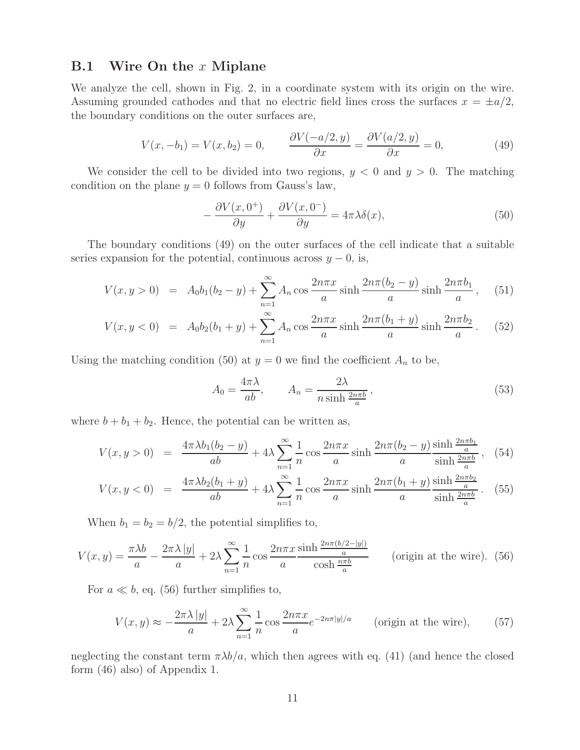### **B.1 Wire On the** x **Miplane**

We analyze the cell, shown in Fig. 2, in a coordinate system with its origin on the wire. Assuming grounded cathodes and that no electric field lines cross the surfaces  $x = \pm a/2$ , the boundary conditions on the outer surfaces are,

$$
V(x, -b_1) = V(x, b_2) = 0, \qquad \frac{\partial V(-a/2, y)}{\partial x} = \frac{\partial V(a/2, y)}{\partial x} = 0,
$$
\n(49)

We consider the cell to be divided into two regions,  $y < 0$  and  $y > 0$ . The matching condition on the plane  $y = 0$  follows from Gauss's law,

$$
-\frac{\partial V(x,0^{+})}{\partial y} + \frac{\partial V(x,0^{-})}{\partial y} = 4\pi\lambda\delta(x),\tag{50}
$$

The boundary conditions (49) on the outer surfaces of the cell indicate that a suitable series expansion for the potential, continuous across  $y - 0$ , is,

$$
V(x, y > 0) = A_0 b_1 (b_2 - y) + \sum_{n=1}^{\infty} A_n \cos \frac{2n\pi x}{a} \sinh \frac{2n\pi (b_2 - y)}{a} \sinh \frac{2n\pi b_1}{a}, \quad (51)
$$

$$
V(x, y < 0) = A_0 b_2 (b_1 + y) + \sum_{n=1}^{\infty} A_n \cos \frac{2n\pi x}{a} \sinh \frac{2n\pi (b_1 + y)}{a} \sinh \frac{2n\pi b_2}{a}. \tag{52}
$$

Using the matching condition (50) at  $y = 0$  we find the coefficient  $A_n$  to be,

$$
A_0 = \frac{4\pi\lambda}{ab}, \qquad A_n = \frac{2\lambda}{n\sinh\frac{2n\pi b}{a}},\tag{53}
$$

where  $b + b_1 + b_2$ . Hence, the potential can be written as,

$$
V(x, y > 0) = \frac{4\pi\lambda b_1(b_2 - y)}{ab} + 4\lambda \sum_{n=1}^{\infty} \frac{1}{n} \cos\frac{2n\pi x}{a} \sinh\frac{2n\pi(b_2 - y)}{a} \frac{\sinh\frac{2n\pi b_1}{a}}{\sinh\frac{2n\pi b}{a}},
$$
(54)

$$
V(x, y < 0) = \frac{4\pi\lambda b_2(b_1 + y)}{ab} + 4\lambda \sum_{n=1}^{\infty} \frac{1}{n} \cos\frac{2n\pi x}{a} \sinh\frac{2n\pi(b_1 + y)}{a} \frac{\sinh\frac{2n\pi b_2}{a}}{\sinh\frac{2n\pi b}{a}}.
$$
 (55)

When  $b_1 = b_2 = b/2$ , the potential simplifies to,

$$
V(x,y) = \frac{\pi\lambda b}{a} - \frac{2\pi\lambda|y|}{a} + 2\lambda \sum_{n=1}^{\infty} \frac{1}{n} \cos\frac{2n\pi x}{a} \frac{\sinh\frac{2n\pi(b/2-|y|)}{a}}{\cosh\frac{n\pi b}{a}} \qquad \text{(origin at the wire). (56)}
$$

For  $a \ll b$ , eq. (56) further simplifies to,

$$
V(x,y) \approx -\frac{2\pi\lambda\,|y|}{a} + 2\lambda \sum_{n=1}^{\infty} \frac{1}{n} \cos\frac{2n\pi x}{a} e^{-2n\pi|y|/a} \qquad \text{(origin at the wire)},\qquad (57)
$$

neglecting the constant term  $\pi \lambda b/a$ , which then agrees with eq. (41) (and hence the closed form (46) also) of Appendix 1.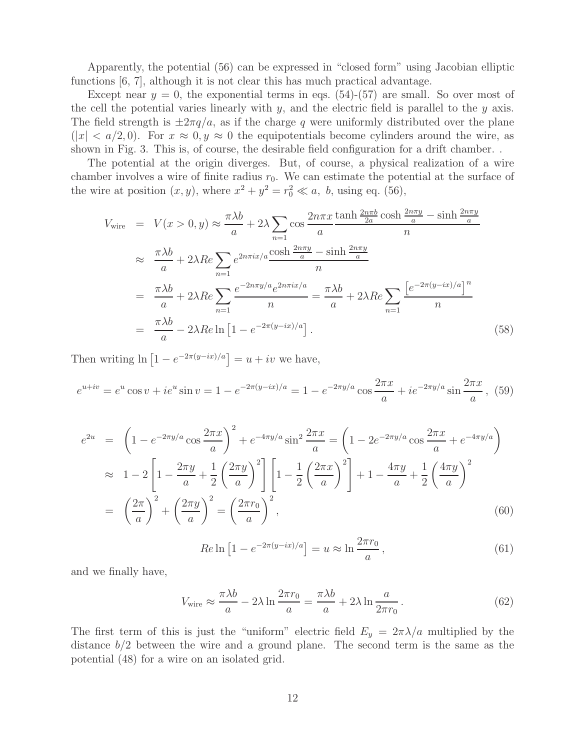Apparently, the potential (56) can be expressed in "closed form" using Jacobian elliptic functions [6, 7], although it is not clear this has much practical advantage.

Except near  $y = 0$ , the exponential terms in eqs. (54)-(57) are small. So over most of the cell the potential varies linearly with  $y$ , and the electric field is parallel to the  $y$  axis. The field strength is  $\pm 2\pi q/a$ , as if the charge q were uniformly distributed over the plane  $(|x| < a/2, 0)$ . For  $x \approx 0, y \approx 0$  the equipotentials become cylinders around the wire, as shown in Fig. 3. This is, of course, the desirable field configuration for a drift chamber. .

The potential at the origin diverges. But, of course, a physical realization of a wire chamber involves a wire of finite radius  $r_0$ . We can estimate the potential at the surface of the wire at position  $(x, y)$ , where  $x^2 + y^2 = r_0^2 \ll a$ , b, using eq. (56),

$$
V_{\text{wire}} = V(x > 0, y) \approx \frac{\pi \lambda b}{a} + 2\lambda \sum_{n=1} \cos \frac{2n\pi x}{a} \frac{\tanh \frac{2n\pi b}{2a} \cosh \frac{2n\pi y}{a} - \sinh \frac{2n\pi y}{a}}{n}
$$

$$
\approx \frac{\pi \lambda b}{a} + 2\lambda Re \sum_{n=1} e^{2n\pi i x/a} \frac{\cosh \frac{2n\pi y}{a} - \sinh \frac{2n\pi y}{a}}{n}
$$

$$
= \frac{\pi \lambda b}{a} + 2\lambda Re \sum_{n=1} e^{-2n\pi y/a} e^{2n\pi i x/a} = \frac{\pi \lambda b}{a} + 2\lambda Re \sum_{n=1} \frac{\left[e^{-2\pi (y - ix)/a}\right]^n}{n}
$$

$$
= \frac{\pi \lambda b}{a} - 2\lambda Re \ln \left[1 - e^{-2\pi (y - ix)/a}\right]. \tag{58}
$$

Then writing  $\ln\left[1-e^{-2\pi(y-ix)/a}\right] = u + iv$  we have,

$$
e^{u+iv} = e^u \cos v + ie^u \sin v = 1 - e^{-2\pi (y-ix)/a} = 1 - e^{-2\pi y/a} \cos \frac{2\pi x}{a} + ie^{-2\pi y/a} \sin \frac{2\pi x}{a},
$$
 (59)

$$
e^{2u} = \left(1 - e^{-2\pi y/a} \cos \frac{2\pi x}{a}\right)^2 + e^{-4\pi y/a} \sin^2 \frac{2\pi x}{a} = \left(1 - 2e^{-2\pi y/a} \cos \frac{2\pi x}{a} + e^{-4\pi y/a}\right)
$$
  
\n
$$
\approx 1 - 2\left[1 - \frac{2\pi y}{a} + \frac{1}{2}\left(\frac{2\pi y}{a}\right)^2\right] \left[1 - \frac{1}{2}\left(\frac{2\pi x}{a}\right)^2\right] + 1 - \frac{4\pi y}{a} + \frac{1}{2}\left(\frac{4\pi y}{a}\right)^2
$$
  
\n
$$
= \left(\frac{2\pi}{a}\right)^2 + \left(\frac{2\pi y}{a}\right)^2 = \left(\frac{2\pi r_0}{a}\right)^2, \tag{60}
$$

$$
Re \ln \left[ 1 - e^{-2\pi (y - ix)/a} \right] = u \approx \ln \frac{2\pi r_0}{a}, \qquad (61)
$$

and we finally have,

$$
V_{\text{wire}} \approx \frac{\pi \lambda b}{a} - 2\lambda \ln \frac{2\pi r_0}{a} = \frac{\pi \lambda b}{a} + 2\lambda \ln \frac{a}{2\pi r_0} \,. \tag{62}
$$

The first term of this is just the "uniform" electric field  $E_y = 2\pi\lambda/a$  multiplied by the distance  $b/2$  between the wire and a ground plane. The second term is the same as the potential (48) for a wire on an isolated grid.